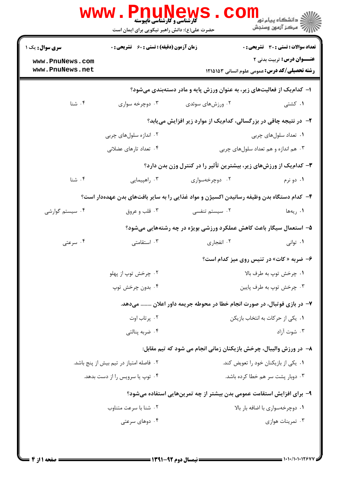|                                    | حضرت علی(ع): دانش راهبر نیکویی برای ایمان است                         |                                                                                          | ر دانشڪاه پيام نور <mark>− ا</mark><br>ر <i>ا</i> مرکز آزمون وسنڊش                       |  |  |  |  |
|------------------------------------|-----------------------------------------------------------------------|------------------------------------------------------------------------------------------|------------------------------------------------------------------------------------------|--|--|--|--|
| <b>سری سوال :</b> یک ۱             | <b>زمان آزمون (دقیقه) : تستی : 60 ٪ تشریحی : 0</b>                    |                                                                                          | تعداد سوالات : تستي : 30 ٪ تشريحي : 0                                                    |  |  |  |  |
| www.PnuNews.com<br>www.PnuNews.net |                                                                       |                                                                                          | <b>عنــوان درس:</b> تربیت بدنی ۲<br><b>رشته تحصیلی/کد درس:</b> عمومی علوم انسانی ۱۲۱۵۱۵۳ |  |  |  |  |
|                                    | ا– کدامیک از فعالیتهای زیر، به عنوان ورزش پایه و مادر دستهبندی میشود؟ |                                                                                          |                                                                                          |  |  |  |  |
| ۰۴ شنا                             | ۰۳ دوچرخه سواری                                                       | ۰۲ ورزشهای سوئدی                                                                         | ۰۱ کشتی                                                                                  |  |  |  |  |
|                                    |                                                                       | ۲- در نتیجه چاقی در بزرگسالی، کدامیک از موارد زیر افزایش مییابد؟                         |                                                                                          |  |  |  |  |
|                                    | ۰۲ اندازه سلولهای چربی                                                |                                                                                          | ۰۱ تعداد سلولهای چربی                                                                    |  |  |  |  |
|                                    | ۰۴ تعداد تارهای عضلانی                                                |                                                                                          | ۰۳ هم اندازه و هم تعداد سلولهای چربی                                                     |  |  |  |  |
|                                    | ۳- کدام یک از ورزشهای زیر، بیشترین تأثیر را در کنترل وزن بدن دارد؟    |                                                                                          |                                                                                          |  |  |  |  |
| ۰۴ شنا                             | ۰۳ راهپیمایی                                                          | ۰۲ دوچرخهسواری                                                                           | ۰۱ دو نرم                                                                                |  |  |  |  |
|                                    |                                                                       | ۴– کدام دستگاه بدن وظیفه رسانیدن اکسیژن و مواد غذایی را به سایر بافتهای بدن عهدهدار است؟ |                                                                                          |  |  |  |  |
| ۰۴ سیستم گوارشی                    | ۰۳ قلب و عروق                                                         | ۰۲ سیستم تنفسی                                                                           | ۰۱ ریهها                                                                                 |  |  |  |  |
|                                    |                                                                       | ۵– استعمال سیگار باعث کاهش عملکرد ورزشی بویژه در چه رشتههایی میشود؟                      |                                                                                          |  |  |  |  |
| ۰۴ سرعتی                           | ۰۳ استقامتی                                                           | ۰۲ انفجاري                                                                               | ۰۱ توانی                                                                                 |  |  |  |  |
|                                    |                                                                       |                                                                                          | ۶- ضربه « کات» در تنیس روی میز کدام است؟                                                 |  |  |  |  |
|                                    | ۰۲ چرخش توپ از پهلو                                                   |                                                                                          | ٠١ چرخش توپ به طرف بالا                                                                  |  |  |  |  |
|                                    | ۰۴ بدون چرخش توپ                                                      |                                                                                          | ۰۳ چرخش توپ به طرف پايين                                                                 |  |  |  |  |
|                                    |                                                                       | ۷– در بازی فوتبال، در صورت انجام خطا در محوطه جریمه داور اعلان  میدهد.                   |                                                                                          |  |  |  |  |
|                                    | ۰۲ پرتاب اوت                                                          |                                                                                          | ۰۱ یکی از حرکات به انتخاب بازیکن                                                         |  |  |  |  |
|                                    | ۰۴ ضربه پنالتی                                                        |                                                                                          | ۰۳ شوت آزاد                                                                              |  |  |  |  |
|                                    |                                                                       | ۸– در ورزش والیبال، چرخش بازیکنان زمانی انجام می شود که تیم مقابل:                       |                                                                                          |  |  |  |  |
|                                    | ۰۲ فاصله امتیاز در تیم بیش از پنج باشد.                               |                                                                                          | ۰۱ یکی از بازیکنان خود را تعویض کند.                                                     |  |  |  |  |
|                                    | ۰۴ توپ یا سرویس را از دست بدهد.                                       |                                                                                          | ۰۳ دوبار پشت سر هم خطا کرده باشد.                                                        |  |  |  |  |
|                                    |                                                                       | ۹– برای افزایش استقامت عمومی بدن بیشتر از چه تمرینهایی استفاده میشود؟                    |                                                                                          |  |  |  |  |
|                                    | ۰۲ شنا با سرعت متناوب                                                 |                                                                                          | ۰۱ دوچرخهسواری با اضافه بار بالا                                                         |  |  |  |  |
|                                    | ۰۴ دوهای سرعتی                                                        |                                                                                          | ۰۳ تمرينات هوازي                                                                         |  |  |  |  |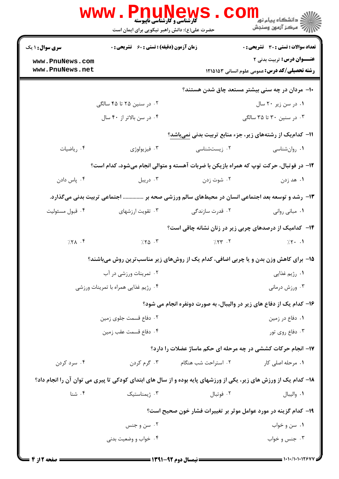|                        | <b>www.PnuNews</b><br><b>گارشناسی و کارشناسی ناپیوسته</b>       |                     | الان دانشگاه پيام نور <mark>- -</mark><br>الان مرکز آزمون وسنجش                                                  |  |  |  |
|------------------------|-----------------------------------------------------------------|---------------------|------------------------------------------------------------------------------------------------------------------|--|--|--|
|                        | حضرت علی(ع): دانش راهبر نیکویی برای ایمان است                   |                     |                                                                                                                  |  |  |  |
| <b>سری سوال : ۱ یک</b> | زمان آزمون (دقیقه) : تستی : 60 ٪ تشریحی : 0                     |                     | <b>تعداد سوالات : تستی : 30 ٪ تشریحی : 0</b>                                                                     |  |  |  |
| www.PnuNews.com        |                                                                 |                     | <b>عنـــوان درس:</b> تربیت بدنی ۲                                                                                |  |  |  |
| www.PnuNews.net        |                                                                 |                     | <b>رشته تحصیلی/کد درس:</b> عمومی علوم انسانی ۱۲۱۵۱۵۳                                                             |  |  |  |
|                        |                                                                 |                     | ∙۱− مردان در چه سنی بیشتر مستعد چاق شدن هستند؟                                                                   |  |  |  |
|                        | ۰۲ در سنین ۲۵ تا ۴۵ سالگی                                       |                     | ۰۱ در سن زیر ۲۰ سال                                                                                              |  |  |  |
|                        | ۰۴ در سن بالاتر از ۴۰ سال                                       |                     | ۰۳ در سنین ۳۰ تا ۳۵ سالگی                                                                                        |  |  |  |
|                        |                                                                 |                     | 1۱– کدام یک از رشتههای زیر، جزء منابع تربیت بدنی نمیباشد؟                                                        |  |  |  |
| ۰۴ رياضيات             | ۰۳ فیزیولوژی                                                    | ۰۲ زیستشناسی        | ۰۱ روانشناسی                                                                                                     |  |  |  |
|                        |                                                                 |                     | ۱۲- در فوتبال، حرکت توپ که همراه بازیکن با ضربات آهسته و متوالی انجام میشود، کدام است؟                           |  |  |  |
| ۰۴ پاس دادن            | ۰۳ دریبل                                                        | ۰۲ شوت زدن          | ۱. هد زدن                                                                                                        |  |  |  |
|                        |                                                                 |                     | ۱۳- رشد و توسعه بعد اجتماعی انسان در محیطهای سالم ورزشی صحه بر  اجتماعی تربیت بدنی میگذارد.                      |  |  |  |
| ۰۴ قبول مسئوليت        | ۰۳ تقویت ارزشهای                                                | ۲. قدرت سازندگی     | ٠١ مباني رواني                                                                                                   |  |  |  |
|                        |                                                                 |                     | <b>۱۴</b> - کدامیک از درصدهای چربی زیر در زنان نشانه چاقی است؟                                                   |  |  |  |
| 7.71.7                 | 7.70.7                                                          | 7.777.7             | $7.5 - 1$                                                                                                        |  |  |  |
|                        |                                                                 |                     | <b>۱۵</b> - برای کاهش وزن بدن و یا چربی اضافی، کدام یک از روشهای زیر مناسبترین روش میباشند؟                      |  |  |  |
|                        | ۰۲ تمرینات ورزشی در آب                                          | ۰۱ رژیم غذایی       |                                                                                                                  |  |  |  |
|                        | ۰۴ رژیم غذایی همراه با تمرینات ورزشی                            | ۰۳ ورزش درمانی      |                                                                                                                  |  |  |  |
|                        |                                                                 |                     | ۱۶- کدام یک از دفاع های زیر در والیبال، به صورت دونفره انجام می شود؟                                             |  |  |  |
|                        | ٢. دفاع قسمت جلوى زمين                                          |                     | ۰۱ دفاع در زمین                                                                                                  |  |  |  |
|                        | ۰۴ دفاع قسمت عقب زمین                                           |                     | ۰۳ دفاع روی تور                                                                                                  |  |  |  |
|                        |                                                                 |                     | ۱۷- انجام حرکات کششی در چه مرحله ای حکم ماساژ عضلات را دارد؟                                                     |  |  |  |
| ۰۴ سرد کردن            | ۰۳ گرم کردن                                                     | ۰۲ استراحت شب هنگام | ۰۱ مرحله اصلی کار                                                                                                |  |  |  |
|                        |                                                                 |                     |                                                                                                                  |  |  |  |
| ۰۴ شنا                 |                                                                 |                     | 18- کدام یک از ورزش های زیر، یکی از ورزشهای پایه بوده و از سال های ابتدای کودکی تا پیری می توان آن را انجام داد؟ |  |  |  |
|                        | ۰۳ ژیمناستیک                                                    | ۰۲ فوتبال           | ٠١ واليبال                                                                                                       |  |  |  |
|                        | ۱۹– کدام گزینه در مورد عوامل موثر بر تغییرات فشار خون صحیح است؟ |                     |                                                                                                                  |  |  |  |
|                        | ۰۲ سن و جنس                                                     |                     | ۰۱ سن و خواب                                                                                                     |  |  |  |
|                        | ۰۴ خواب و وضعیت بدنی                                            |                     | ۰۳ جنس و خواب                                                                                                    |  |  |  |
|                        |                                                                 |                     |                                                                                                                  |  |  |  |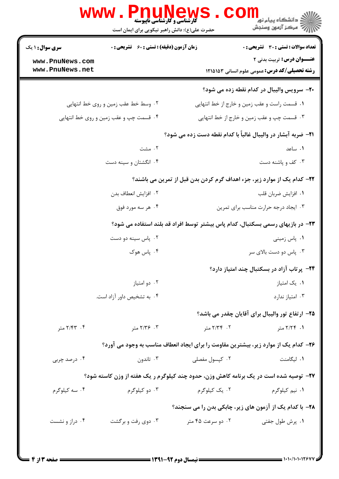|                                    | <b>گارشناسی و کارشناسی ناپیوسته</b><br>حضرت علی(ع): دانش راهبر نیکویی برای ایمان است |                                      | دانشکاه پیام نور<br>ا∛ مرکز آزمون وسنجش                                                       |  |  |
|------------------------------------|--------------------------------------------------------------------------------------|--------------------------------------|-----------------------------------------------------------------------------------------------|--|--|
|                                    | <b>زمان آزمون (دقیقه) : تستی : 60 ٪ تشریحی : 0</b>                                   |                                      | <b>تعداد سوالات : تستي : 30 ٪ تشريحي : 0</b>                                                  |  |  |
| www.PnuNews.com<br>www.PnuNews.net |                                                                                      |                                      | <b>عنـــوان درس:</b> تربیت بدنی ۲<br><b>رشته تحصیلی/کد درس:</b> عمومی علوم انسانی ۱۲۱۵۱۵۳     |  |  |
|                                    |                                                                                      |                                      | ۲۰- سرویس والیبال در کدام نقطه زده می شود؟                                                    |  |  |
|                                    | ۰۲ وسط خط عقب زمین و روی خط انتهایی                                                  |                                      | ۰۱ قسمت راست و عقب زمین و خارج از خط انتهایی                                                  |  |  |
|                                    | ۰۴ قسمت چپ و عقب زمین و روی خط انتهایی                                               |                                      | ۰۳ قسمت چپ و عقب زمین و خارج از خط انتهایی                                                    |  |  |
|                                    |                                                                                      |                                      | <b>ا۲</b> – ضربه آبشار در واليبال غالباً با كدام نقطه دست زده مي شود؟                         |  |  |
|                                    | ۰۲ مشت                                                                               |                                      | ۰۱ ساعد                                                                                       |  |  |
|                                    | ۰۴ انگشتان و سینه دست                                                                |                                      | ۰۳ کف و پاشنه دست                                                                             |  |  |
|                                    |                                                                                      |                                      | ۲۲– کدام یک از موارد زیر، جزء اهداف گرم کردن بدن قبل از تمرین می باشند؟                       |  |  |
|                                    | ۰۲ افزایش انعطاف بدن                                                                 |                                      | ٠١. افزايش ضربان قلب                                                                          |  |  |
|                                    | ۰۴ هر سه مورد فوق                                                                    | ٠٣ ايجاد درجه حرارت مناسب براى تمرين |                                                                                               |  |  |
|                                    |                                                                                      |                                      | ۲۳– در بازیهای رسمی بسکتبال، کدام پاس بیشتر توسط افراد قد بلند استفاده می شود؟                |  |  |
|                                    | ۰۲ پاس سینه دو دست                                                                   |                                      | ۰۱ پاس زمینی                                                                                  |  |  |
|                                    | ۰۴ پاس هوک                                                                           |                                      | ۰۳ پاس دو دست بالای سر                                                                        |  |  |
|                                    |                                                                                      |                                      | ۲۴- پرتاب آزاد در بسکتبال چند امتیاز دارد؟                                                    |  |  |
|                                    | ۰۲ دو امتياز                                                                         |                                      | ۰۱ یک امتیاز                                                                                  |  |  |
|                                    | ۰۴ به تشخیص داور آزاد است.                                                           |                                      | ۰۳ امتياز ندارد                                                                               |  |  |
|                                    |                                                                                      |                                      | ۲۵– ارتفاع تور والیبال برای آقایان چقدر می باشد؟                                              |  |  |
|                                    | ۲. ۲/۳۶ متر                                                                          | ۲. ۲/۳۴ متر                          | ۰۱ ۲/۲۴ متر                                                                                   |  |  |
|                                    |                                                                                      |                                      | ۲۶- کدام یک از موارد زیر، بیشترین مقاومت را برای ایجاد انعطاف مناسب به وجود می آورد؟          |  |  |
|                                    | ۰۳ تاندون                                                                            | ۰۲ کپسول مفصلی                       | ۰۱ لیگامنت                                                                                    |  |  |
|                                    |                                                                                      |                                      | <b>۲۷</b> - توصیه شده است در یک برنامه کاهش وزن، حدود چند کیلوگرم ر یک هفته از وزن کاسته شود؟ |  |  |
|                                    | ۰۳ دو کیلوگرم                                                                        | ۲. یک کیلوگرم                        | ۰۱ نیم کیلوگرم                                                                                |  |  |
|                                    |                                                                                      |                                      | ۲۸- با کدام یک از آزمون های زیر، چابکی بدن را می سنجند؟                                       |  |  |
|                                    | ۰۳ دوی رفت و برگشت                                                                   | ۰۲ دو سرعت ۴۵ متر                    | ۰۱ پرش طول جفتی                                                                               |  |  |